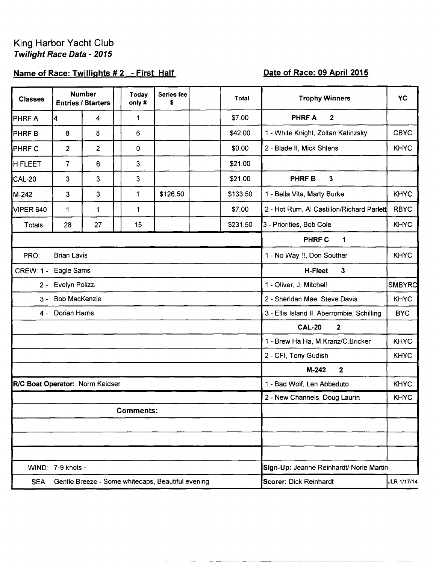### King Harbor Yacht Club Twilight Race Data - 2015

# Name of Race: Twillights #2 - First Half

# Date of Race: 09 April 2015

| <b>Classes</b>                  | <b>Number</b><br><b>Entries / Starters</b> |                | Today<br>only#                                    | Series fee<br>\$                        | <b>Total</b>                          |          | <b>Trophy Winners</b>                      | <b>YC</b>     |  |
|---------------------------------|--------------------------------------------|----------------|---------------------------------------------------|-----------------------------------------|---------------------------------------|----------|--------------------------------------------|---------------|--|
| PHRF A                          | 4                                          | 4              | 1                                                 |                                         |                                       | \$7.00   | $\boldsymbol{2}$<br><b>PHRFA</b>           |               |  |
| PHRF <sub>B</sub>               | 8                                          | 8              | 6                                                 |                                         |                                       | \$42.00  | 1 - White Knight, Zoltan Katinzsky         | <b>CBYC</b>   |  |
| <b>PHRF C</b>                   | $\overline{c}$                             | $\overline{2}$ | 0                                                 |                                         |                                       | \$0.00   | 2 - Blade II, Mick Shlens                  | <b>KHYC</b>   |  |
| <b>H FLEET</b>                  | $\overline{7}$                             | 6              | 3                                                 |                                         |                                       | \$21.00  |                                            |               |  |
| <b>CAL-20</b>                   | $\mathbf{3}$                               | 3              | 3                                                 |                                         |                                       | \$21.00  | <b>PHRFB</b><br>3                          |               |  |
| M-242                           | 3                                          | 3              | 1                                                 | \$126.50                                |                                       | \$133.50 | 1 - Bella Vita, Marty Burke                | <b>KHYC</b>   |  |
| VIPER 640                       | 1                                          | 1              | 1                                                 |                                         |                                       | \$7.00   | 2 - Hot Rum, Al Castillon/Richard Parlett  | <b>RBYC</b>   |  |
| Totals                          | 28                                         | 27             | 15                                                |                                         |                                       | \$231.50 | 3 - Priorities, Bob Cole                   | <b>KHYC</b>   |  |
|                                 |                                            |                |                                                   |                                         |                                       |          | <b>PHRF C</b><br>1                         |               |  |
| PRO:<br><b>Brian Lavis</b>      |                                            |                |                                                   |                                         |                                       |          | 1 - No Way !!, Don Souther                 | <b>KHYC</b>   |  |
| Eagle Sams<br><b>CREW: 1 -</b>  |                                            |                |                                                   |                                         |                                       |          | <b>H-Fleet</b><br>$\mathbf{3}$             |               |  |
| Evelyn Polizzi<br>$2 -$         |                                            |                |                                                   |                                         |                                       |          | 1 - Oliver, J. Mitchell                    | <b>SMBYRC</b> |  |
| <b>Bob MacKenzie</b><br>$3 -$   |                                            |                |                                                   |                                         |                                       |          | 2 - Sheridan Mae, Steve Davis              | <b>KHYC</b>   |  |
| Dorian Harris<br>4 -            |                                            |                |                                                   |                                         |                                       |          | 3 - Ellis Island II, Aberrombie, Schilling | <b>BYC</b>    |  |
|                                 |                                            |                |                                                   |                                         |                                       |          | <b>CAL-20</b><br>$\mathbf{2}$              |               |  |
|                                 |                                            |                |                                                   |                                         |                                       |          | 1 - Brew Ha Ha, M.Kranz/C.Bricker          | <b>KHYC</b>   |  |
|                                 |                                            |                |                                                   |                                         |                                       |          | 2 - CFI, Tony Gudish<br><b>KHYC</b>        |               |  |
|                                 |                                            |                |                                                   |                                         |                                       |          | $\overline{2}$<br>$M-242$                  |               |  |
| R/C Boat Operator: Norm Keidser |                                            |                |                                                   |                                         |                                       |          | 1 - Bad Wolf, Len Abbeduto                 | <b>KHYC</b>   |  |
|                                 |                                            |                |                                                   |                                         |                                       |          | 2 - New Channels, Doug Laurin              | <b>KHYC</b>   |  |
|                                 |                                            |                | <b>Comments:</b>                                  |                                         |                                       |          |                                            |               |  |
|                                 |                                            |                |                                                   |                                         |                                       |          |                                            |               |  |
|                                 |                                            |                |                                                   |                                         |                                       |          |                                            |               |  |
|                                 |                                            |                |                                                   |                                         |                                       |          |                                            |               |  |
|                                 | WIND: 7-9 knots -                          |                |                                                   | Sign-Up: Jeanne Reinhardt/ Norie Martin |                                       |          |                                            |               |  |
| SEA:                            |                                            |                | Gentle Breeze - Some whitecaps, Beautiful evening |                                         | Scorer: Dick Reinhardt<br>JLR 1/17/14 |          |                                            |               |  |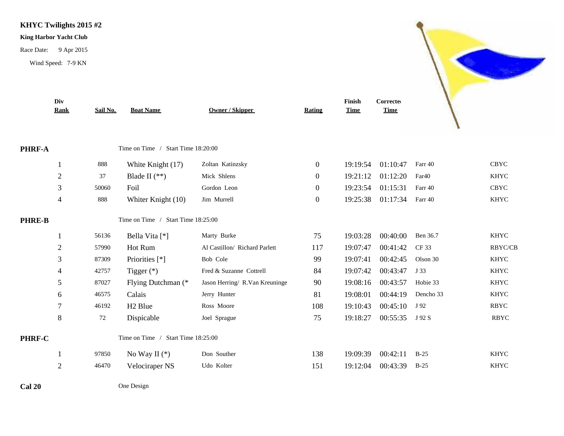#### **KHYC Twilights 2015 #2**

#### **King Harbor Yacht Club**

Race Date: 9 Apr 2015

Wind Speed: 7-9 KN



**Contract Contract Contract Contract Contract Contract Contract Contract Contract Contract Contract Contract C**